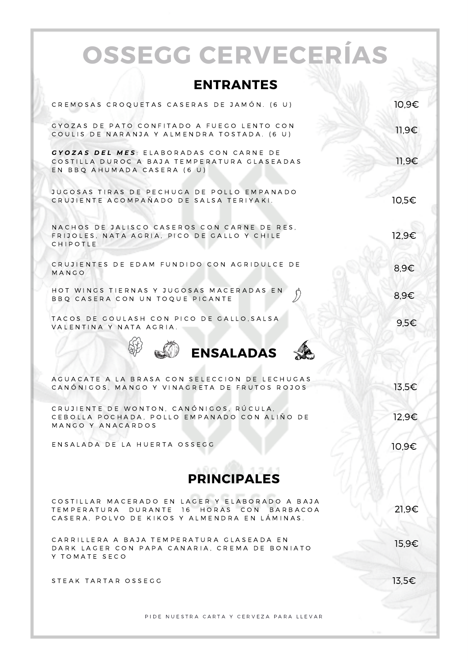|                    | <b>OSSEGG CERVECERÍAS</b>                                                                                                                    |       |  |  |
|--------------------|----------------------------------------------------------------------------------------------------------------------------------------------|-------|--|--|
|                    |                                                                                                                                              |       |  |  |
|                    | <b>ENTRANTES</b>                                                                                                                             |       |  |  |
|                    | CREMOSAS CROQUETAS CASERAS DE JAMÓN. (6 U)                                                                                                   | 10,9€ |  |  |
|                    | GYOZAS DE PATO CONFITADO A FUEGO LENTO CON<br>COULIS DE NARANJA Y ALMENDRA TOSTADA. (6 U)                                                    | 11,9€ |  |  |
|                    | GYOZAS DEL MES: ELABORADAS CON CARNE DE<br>COSTILLA DUROC A BAJA TEMPERATURA GLASEADAS<br>EN BBQ AHUMADA CASERA (6 U)                        | 11,9€ |  |  |
|                    | JUGOSAS TIRAS DE PECHUGA DE POLLO EMPANADO<br>CRUJIENTE ACOMPAÑADO DE SALSA TERIYAKI.                                                        | 10.5€ |  |  |
|                    | NACHOS DE JALISCO CASEROS CON CARNE DE RES.<br>FRIJOLES. NATA AGRIA. PICO DE GALLO Y CHILE<br>CHIPOTLE                                       | 12,9€ |  |  |
|                    | CRUJIENTES DE EDAM FUNDIDO CON AGRIDULCE DE<br>MANGO                                                                                         | 8.9€  |  |  |
|                    | HOT WINGS TIERNAS Y JUGOSAS MACERADAS EN<br>BBQ CASERA CON UN TOQUE PICANTE                                                                  | 8,9€  |  |  |
|                    | TACOS DE GOULASH CON PICO DE GALLO, SALSA<br>VALENTINA Y NATA AGRIA.                                                                         | 9,5€  |  |  |
|                    | <b>ENSALADAS</b>                                                                                                                             |       |  |  |
|                    | AGUACATE A LA BRASA CON SELECCION DE LECHUGAS<br>CANONIGOS, MANGO Y VINAGRETA DE FRUTOS ROJOS                                                | 13,5€ |  |  |
|                    | CRUJIENTE DE WONTON, CANÓNIGOS, RÚCULA,<br>CEBOLLA POCHADA, POLLO EMPANADO CON ALIÑO DE<br>MANGO Y ANACARDOS                                 | 12,9€ |  |  |
|                    | ENSALADA DE LA HUERTA OSSEGG                                                                                                                 | 10,9€ |  |  |
| <b>PRINCIPALES</b> |                                                                                                                                              |       |  |  |
|                    | COSTILLAR MACERADO EN LAGER Y ELABORADO A BAJA<br>TEMPERATURA DURANTE 16 HORAS CON BARBACOA<br>CASERA. POLVO DE KIKOS Y ALMENDRA EN LÁMINAS. | 21,9€ |  |  |
|                    | CARRILLERA A BAJA TEMPERATURA GLASEADA EN<br>DARK LAGER CON PAPA CANARIA. CREMA DE BONIATO<br>Y TOMATE SECO                                  | 15,9€ |  |  |
|                    | STEAK TARTAR OSSEGG                                                                                                                          | 13,5€ |  |  |
|                    | PIDE NUESTRA CARTA Y CERVEZA PARA LLEVAR                                                                                                     |       |  |  |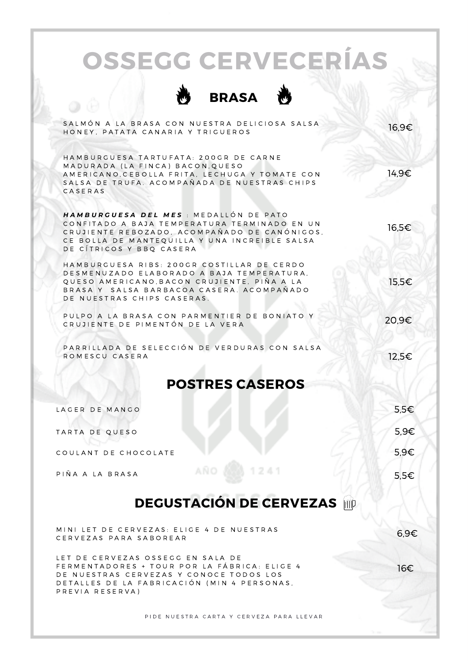## **OSSEGG CERVECERÍAS**



| SALMÓN A LA BRASA CON NUESTRA DELICIOSA SALSA<br>HONEY, PATATA CANARIA Y TRIGUEROS                                                                                                                                  | 16,9€ |  |  |  |
|---------------------------------------------------------------------------------------------------------------------------------------------------------------------------------------------------------------------|-------|--|--|--|
| HAMBURGUESA TARTUFATA: 200GR DE CARNE<br>MADURADA (LA FINCA) BACON, QUESO<br>AMERICANO, CEBOLLA FRITA, LECHUGA Y TOMATE CON<br>SALSA DE TRUFA. ACOMPAÑADA DE NUESTRAS CHIPS<br>CASERAS                              | 14,9€ |  |  |  |
| HAMBURGUESA DEL MES : MEDALLON DE PATO<br>CONFITADO A BAJA TEMPERATURA TERMINADO EN UN<br>CRUJIENTE REBOZADO, ACOMPAÑADO DE CANÓNIGOS,<br>CE BOLLA DE MANTEQUILLA Y UNA INCREIBLE SALSA<br>DE CÍTRICOS Y BBQ CASERA | 16,5€ |  |  |  |
| HAMBURGUESA RIBS: 200GR COSTILLAR DE CERDO<br>DESMENUZADO ELABORADO A BAJA TEMPERATURA,<br>QUESO AMERICANO,BACON CRUJIENTE, PIÑA A LA<br>BRASA Y  SALSA BARBACOA CASERA. ACOMPAÑADO<br>DE NUESTRAS CHIPS CASERAS.   | 15,5€ |  |  |  |
| PULPO A LA BRASA CON PARMENTIER DE BONIATO Y<br>CRUJIENTE DE PIMENTÓN DE LA VERA                                                                                                                                    | 20.9€ |  |  |  |
| PARRILLADA DE SELECCIÓN DE VERDURAS CON SALSA<br>ROMESCU CASERA                                                                                                                                                     | 12,5€ |  |  |  |
| <b>POSTRES CASEROS</b>                                                                                                                                                                                              |       |  |  |  |
| LAGER DE MANGO                                                                                                                                                                                                      | 5.5€  |  |  |  |
| TARTA DE QUESO                                                                                                                                                                                                      | 5.9€  |  |  |  |
| COULANT DE CHOCOLATE                                                                                                                                                                                                | 5.9€  |  |  |  |
| <b>AÑO</b><br>PIÑA A LA BRASA                                                                                                                                                                                       | 5,5€  |  |  |  |
| <b>DEGUSTACIÓN DE CERVEZAS imp</b>                                                                                                                                                                                  |       |  |  |  |

MINI LET DE CERVEZAS: ELIGE 4 DE NUESTRAS CERVEZAS PARA SABOREAR

LET DE CERVEZAS OSSEGG EN SALA DE FERMENTADORES + TOUR POR LA FÁBRICA: ELIGE 4 DE NUESTRAS CERVEZAS Y CONOCE TODOS LOS D E TALLES DE LA FABRICACIÓN (MIN 4 PERSONAS, PREVIA RESERVA)

P I D E N U E STRA CARTA Y CERVEZA PARA LLEVAR

6,9€

16€